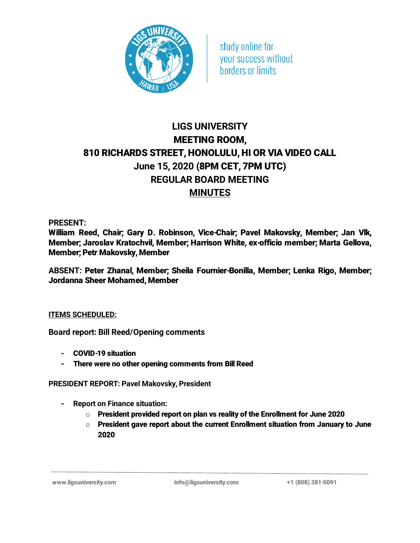

study online for your success without borders or limits

## LIGS UNIVERSITY MEETING ROOM, 810 RICHARDS STREET, HONOLULU, HI OR VIA VIDEO CALL June 15, 2020 (8PM CET, 7PM UTC) REGULAR BOARD MEETING **MINUTES**

PRESENT:

William Reed, Chair; Gary D. Robinson, Vice-Chair; Pavel Makovsky, Member; Jan Vlk, Member; Jaroslav Kratochvil, Member; Harrison White, ex-officio member; Marta Gellova, Member; Petr Makovsky, Member

ABSENT: Peter Zhanal, Member; Sheila Fournier-Bonilla, Member; Lenka Rigo, Member; Jordanna Sheer Mohamed, Member

## ITEMS SCHEDULED:

Board report: Bill Reed/Opening comments

- COVID-19 situation
- There were no other opening comments from Bill Reed

PRESIDENT REPORT: Pavel Makovsky, President

- Report on Finance situation:
	- $\circ$  President provided report on plan vs reality of the Enrollment for June 2020
	- $\circ$  President gave report about the current Enrollment situation from January to June 2020